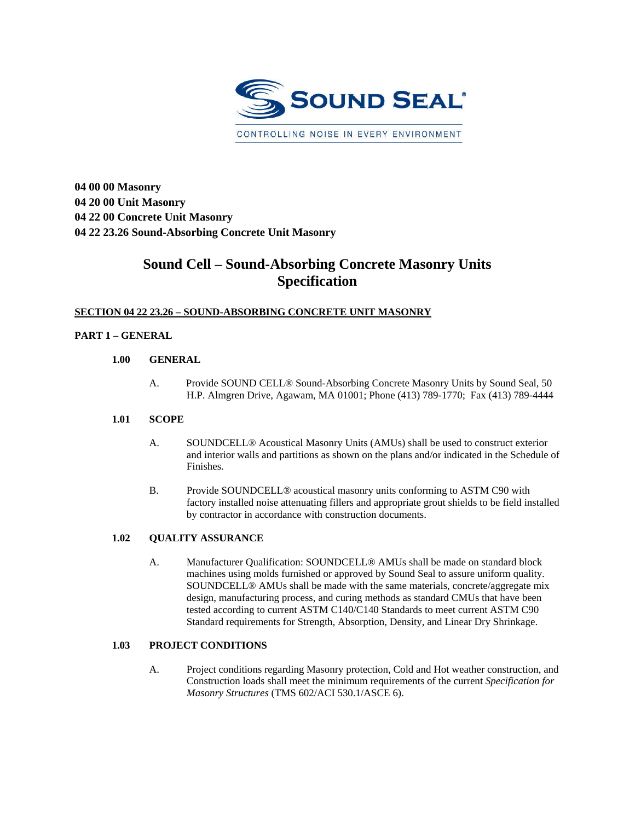

**04 00 00 Masonry 04 20 00 Unit Masonry 04 22 00 Concrete Unit Masonry 04 22 23.26 Sound-Absorbing Concrete Unit Masonry** 

# **Sound Cell – Sound-Absorbing Concrete Masonry Units Specification**

# **SECTION 04 22 23.26 – SOUND-ABSORBING CONCRETE UNIT MASONRY**

# **PART 1 – GENERAL**

## **1.00 GENERAL**

A. Provide SOUND CELL® Sound-Absorbing Concrete Masonry Units by Sound Seal, 50 H.P. Almgren Drive, Agawam, MA 01001; Phone (413) 789-1770; Fax (413) 789-4444

## **1.01 SCOPE**

- A. SOUNDCELL® Acoustical Masonry Units (AMUs) shall be used to construct exterior and interior walls and partitions as shown on the plans and/or indicated in the Schedule of Finishes.
- B. Provide SOUNDCELL® acoustical masonry units conforming to ASTM C90 with factory installed noise attenuating fillers and appropriate grout shields to be field installed by contractor in accordance with construction documents.

## **1.02 QUALITY ASSURANCE**

A. Manufacturer Qualification: SOUNDCELL® AMUs shall be made on standard block machines using molds furnished or approved by Sound Seal to assure uniform quality. SOUNDCELL® AMUs shall be made with the same materials, concrete/aggregate mix design, manufacturing process, and curing methods as standard CMUs that have been tested according to current ASTM C140/C140 Standards to meet current ASTM C90 Standard requirements for Strength, Absorption, Density, and Linear Dry Shrinkage.

## **1.03 PROJECT CONDITIONS**

A. Project conditions regarding Masonry protection, Cold and Hot weather construction, and Construction loads shall meet the minimum requirements of the current *Specification for Masonry Structures* (TMS 602/ACI 530.1/ASCE 6).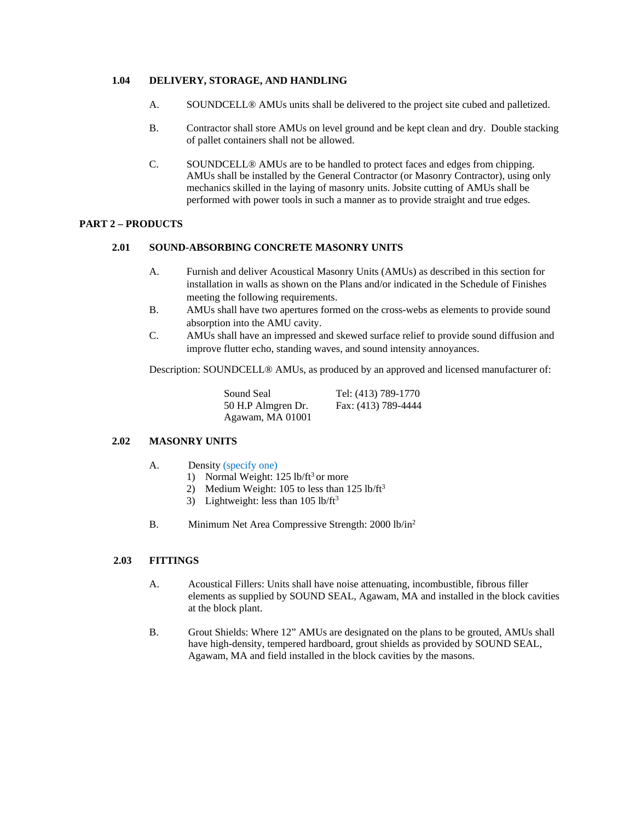### **1.04 DELIVERY, STORAGE, AND HANDLING**

- A. SOUNDCELL® AMUs units shall be delivered to the project site cubed and palletized.
- B. Contractor shall store AMUs on level ground and be kept clean and dry. Double stacking of pallet containers shall not be allowed.
- C. SOUNDCELL® AMUs are to be handled to protect faces and edges from chipping. AMUs shall be installed by the General Contractor (or Masonry Contractor), using only mechanics skilled in the laying of masonry units. Jobsite cutting of AMUs shall be performed with power tools in such a manner as to provide straight and true edges.

## **PART 2 – PRODUCTS**

#### **2.01 SOUND-ABSORBING CONCRETE MASONRY UNITS**

- A. Furnish and deliver Acoustical Masonry Units (AMUs) as described in this section for installation in walls as shown on the Plans and/or indicated in the Schedule of Finishes meeting the following requirements.
- B. AMUs shall have two apertures formed on the cross-webs as elements to provide sound absorption into the AMU cavity.
- C. AMUs shall have an impressed and skewed surface relief to provide sound diffusion and improve flutter echo, standing waves, and sound intensity annoyances.

Description: SOUNDCELL® AMUs, as produced by an approved and licensed manufacturer of:

| Sound Seal         | Tel: (413) 789-1770 |
|--------------------|---------------------|
| 50 H.P Almgren Dr. | Fax: (413) 789-4444 |
| Agawam, MA 01001   |                     |

#### **2.02 MASONRY UNITS**

- A. Density (specify one)
	- 1) Normal Weight:  $125$  lb/ft<sup>3</sup> or more
	- 2) Medium Weight: 105 to less than  $125$  lb/ft<sup>3</sup>
	- 3) Lightweight: less than  $105$  lb/ft<sup>3</sup>
- B. Minimum Net Area Compressive Strength: 2000 lb/in<sup>2</sup>

#### **2.03 FITTINGS**

- A. Acoustical Fillers: Units shall have noise attenuating, incombustible, fibrous filler elements as supplied by SOUND SEAL, Agawam, MA and installed in the block cavities at the block plant.
- B. Grout Shields: Where 12" AMUs are designated on the plans to be grouted, AMUs shall have high-density, tempered hardboard, grout shields as provided by SOUND SEAL, Agawam, MA and field installed in the block cavities by the masons.